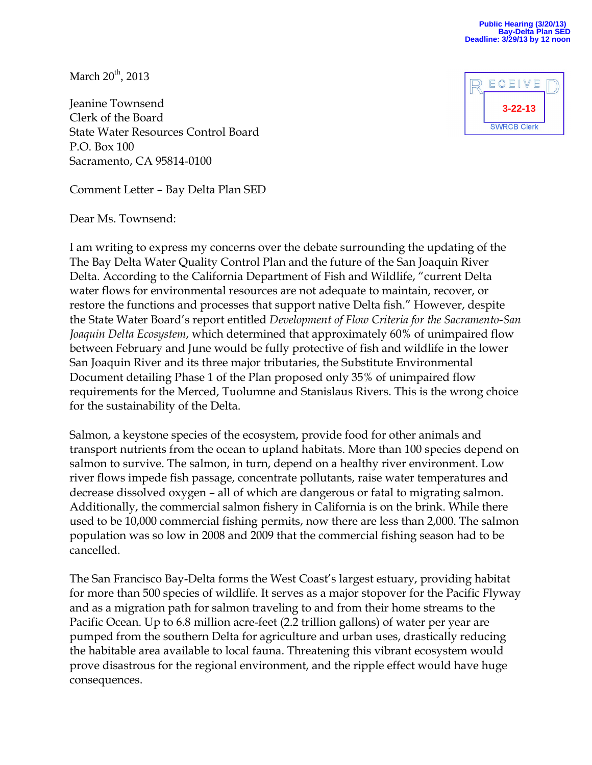March  $20<sup>th</sup>$ , 2013

Jeanine Townsend Clerk of the Board State Water Resources Control Board P.O. Box 100 Sacramento, CA 95814-0100

Comment Letter – Bay Delta Plan SED

Dear Ms. Townsend:

I am writing to express my concerns over the debate surrounding the updating of the The Bay Delta Water Quality Control Plan and the future of the San Joaquin River Delta. According to the California Department of Fish and Wildlife, "current Delta water flows for environmental resources are not adequate to maintain, recover, or restore the functions and processes that support native Delta fish." However, despite the State Water Board's report entitled *Development of Flow Criteria for the Sacramento-San Joaquin Delta Ecosystem*, which determined that approximately 60% of unimpaired flow between February and June would be fully protective of fish and wildlife in the lower San Joaquin River and its three major tributaries, the Substitute Environmental Document detailing Phase 1 of the Plan proposed only 35% of unimpaired flow requirements for the Merced, Tuolumne and Stanislaus Rivers. This is the wrong choice for the sustainability of the Delta.

Salmon, a keystone species of the ecosystem, provide food for other animals and transport nutrients from the ocean to upland habitats. More than 100 species depend on salmon to survive. The salmon, in turn, depend on a healthy river environment. Low river flows impede fish passage, concentrate pollutants, raise water temperatures and decrease dissolved oxygen – all of which are dangerous or fatal to migrating salmon. Additionally, the commercial salmon fishery in California is on the brink. While there used to be 10,000 commercial fishing permits, now there are less than 2,000. The salmon population was so low in 2008 and 2009 that the commercial fishing season had to be cancelled.

The San Francisco Bay-Delta forms the West Coast's largest estuary, providing habitat for more than 500 species of wildlife. It serves as a major stopover for the Pacific Flyway and as a migration path for salmon traveling to and from their home streams to the Pacific Ocean. Up to 6.8 million acre-feet (2.2 trillion gallons) of water per year are pumped from the southern Delta for agriculture and urban uses, drastically reducing the habitable area available to local fauna. Threatening this vibrant ecosystem would prove disastrous for the regional environment, and the ripple effect would have huge consequences.